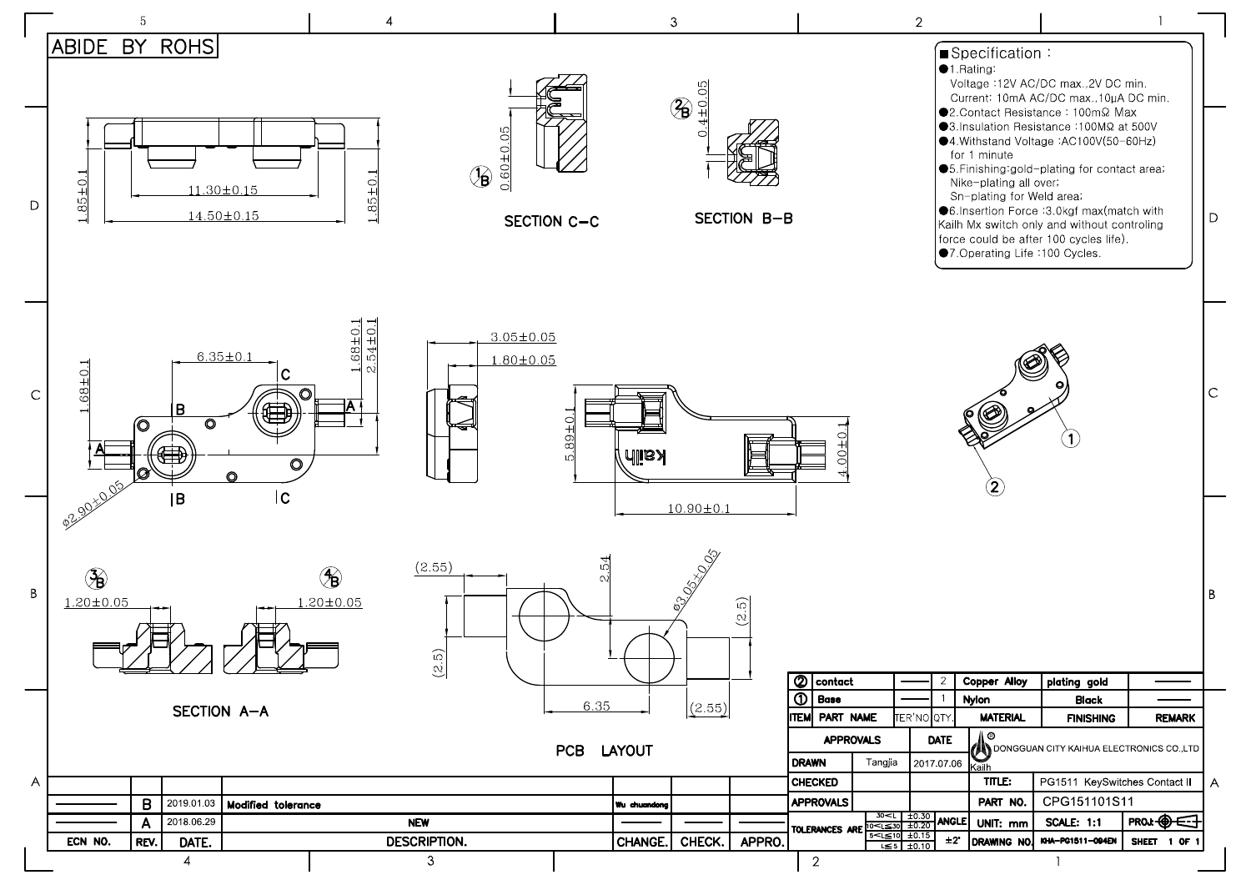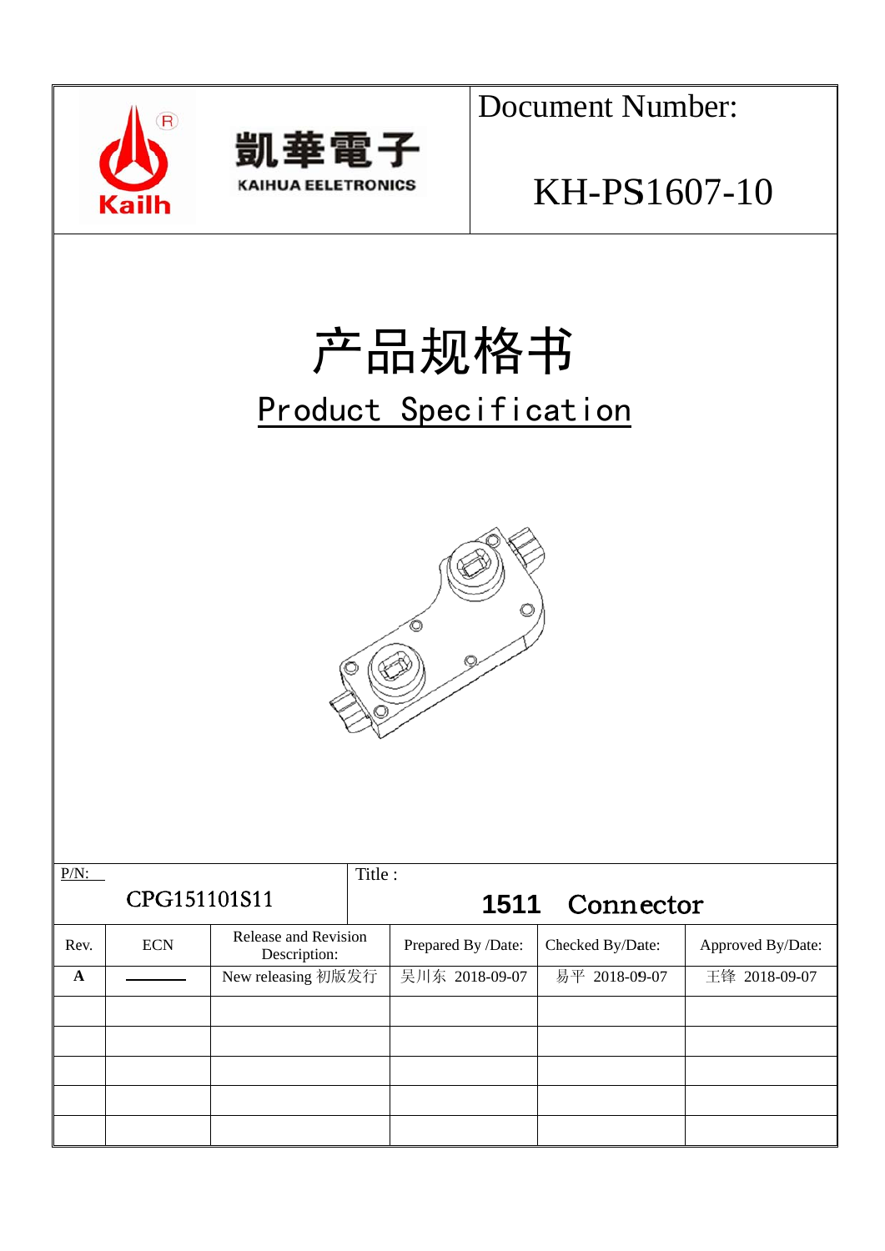



**Document Number:** 

## KH-PS1607-10

# 产品规格书 Product Specification



| $P/N$ :      |            |                                      | Title: |                    |                  |                   |
|--------------|------------|--------------------------------------|--------|--------------------|------------------|-------------------|
| CPG151101S11 |            |                                      |        | 1511               | Connector        |                   |
| Rev.         | <b>ECN</b> | Release and Revision<br>Description: |        | Prepared By /Date: | Checked By/Date: | Approved By/Date: |
| $\mathbf{A}$ |            | New releasing 初版发行                   |        | 吴川东 2018-09-07     | 易平 2018-09-07    | 王锋 2018-09-07     |
|              |            |                                      |        |                    |                  |                   |
|              |            |                                      |        |                    |                  |                   |
|              |            |                                      |        |                    |                  |                   |
|              |            |                                      |        |                    |                  |                   |
|              |            |                                      |        |                    |                  |                   |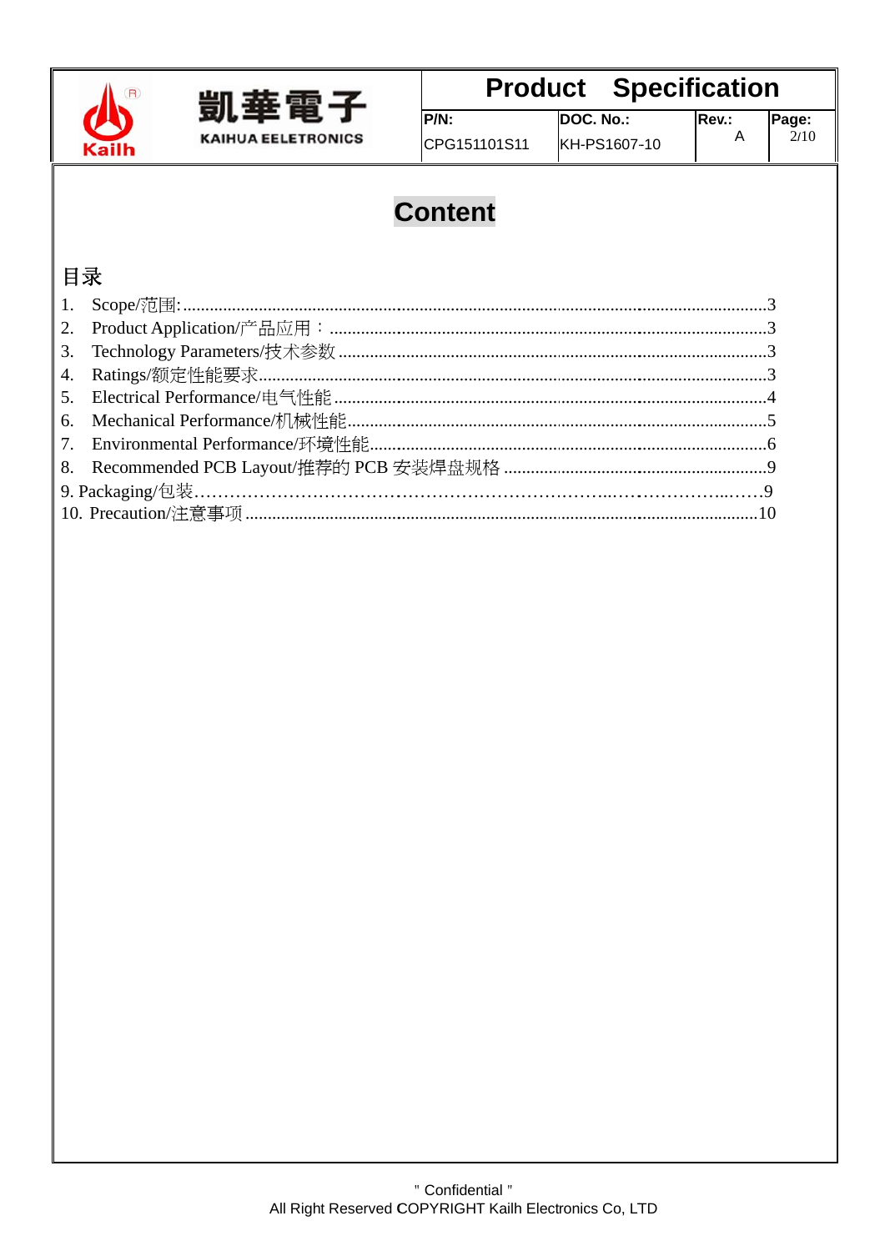



### **Product Specification**

CPG151101S11

DOC. No.: KH-PS1607-10

### **Content**

 $P/N$ :

### 目录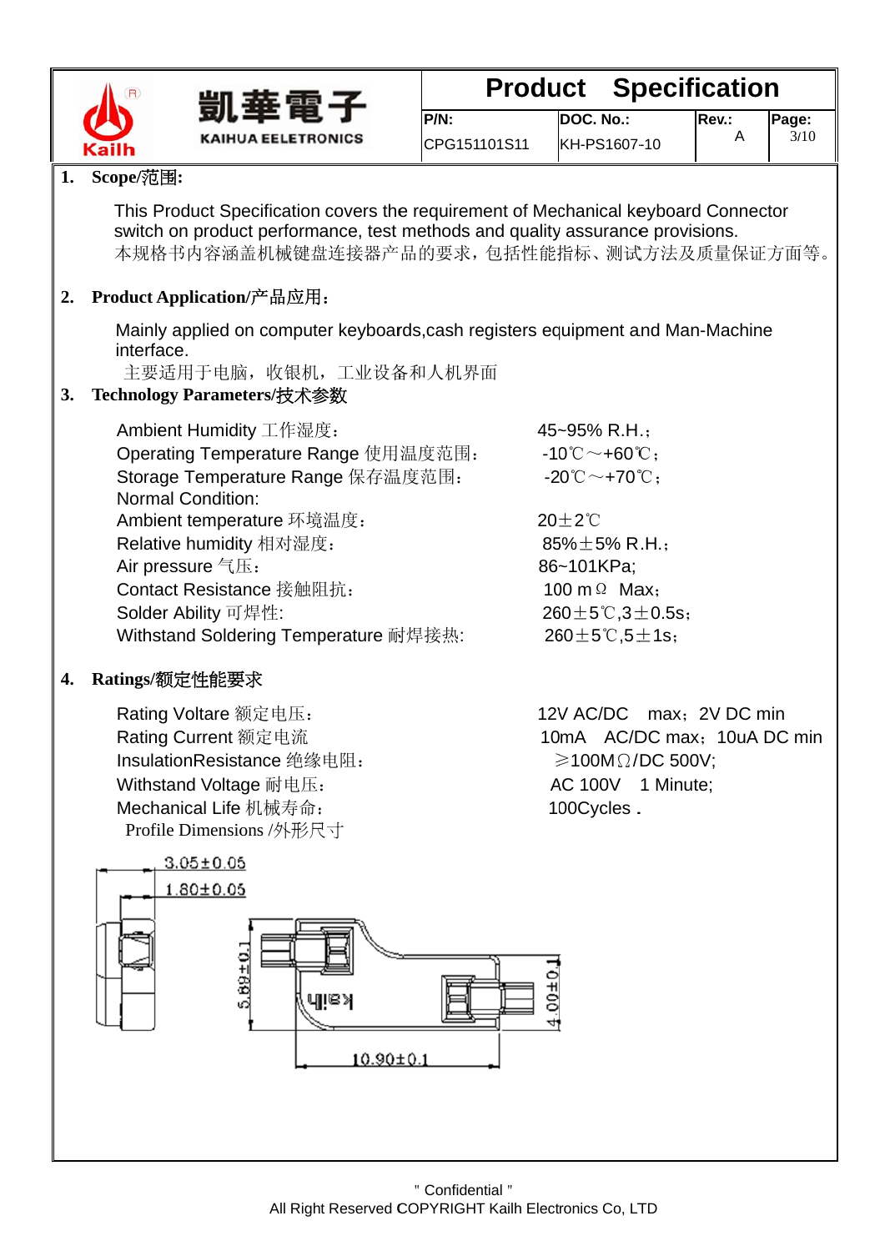



#### **Specification Product**

| $P/N$ :      | DOC.N  |
|--------------|--------|
| CPG151101S11 | KH-PS1 |

Rev.:

 $\overline{A}$ 

#### 1. Scope/范围:

This Product Specification covers the requirement of Mechanical keyboard Connector switch on product performance, test methods and quality assurance provisions. 本规格书内容涵盖机械键盘连接器产品的要求, 包括性能指标、测试方法及质量保证方面等。

### 2. Product Application/产品应用:

Mainly applied on computer keyboards, cash registers equipment and Man-Machine interface.

主要适用于电脑, 收银机, 工业设备和人机界面

#### Technology Parameters/技术参数  $3.$

| Ambient Humidity 工作湿度:                | 45~95% R.H.;                                   |
|---------------------------------------|------------------------------------------------|
| Operating Temperature Range 使用温度范围:   | $-10^{\circ}$ C ~ +60 $^{\circ}$ C:            |
| Storage Temperature Range 保存温度范围:     | $-20^{\circ}\text{C}\sim+70^{\circ}\text{C}$ : |
| <b>Normal Condition:</b>              |                                                |
| Ambient temperature 环境温度:             | $20 \pm 2^{\circ}$ C                           |
| Relative humidity 相对湿度:               | 85% $\pm$ 5% R.H.;                             |
| Air pressure 气压:                      | 86~101KPa;                                     |
| Contact Resistance 接触阻抗:              | 100 m $\Omega$ Max:                            |
| Solder Ability 可焊性:                   | $260 \pm 5^{\circ}$ C, 3 $\pm$ 0.5s;           |
| Withstand Soldering Temperature 耐焊接热: | 260 $\pm$ 5°C,5 $\pm$ 1s;                      |

#### Ratings/额定性能要求  $\overline{4}$ .

Rating Voltare 额定电压: Rating Current 额定电流 InsulationResistance 绝缘电阻: Withstand Voltage 耐电压: Mechanical Life 机械寿命: Profile Dimensions /外形尺寸

12V AC/DC max: 2V DC min 10mA AC/DC max: 10uA DC min  $\geqslant$ 100M $\Omega$ /DC 500V: AC 100V 1 Minute; 100Cycles.

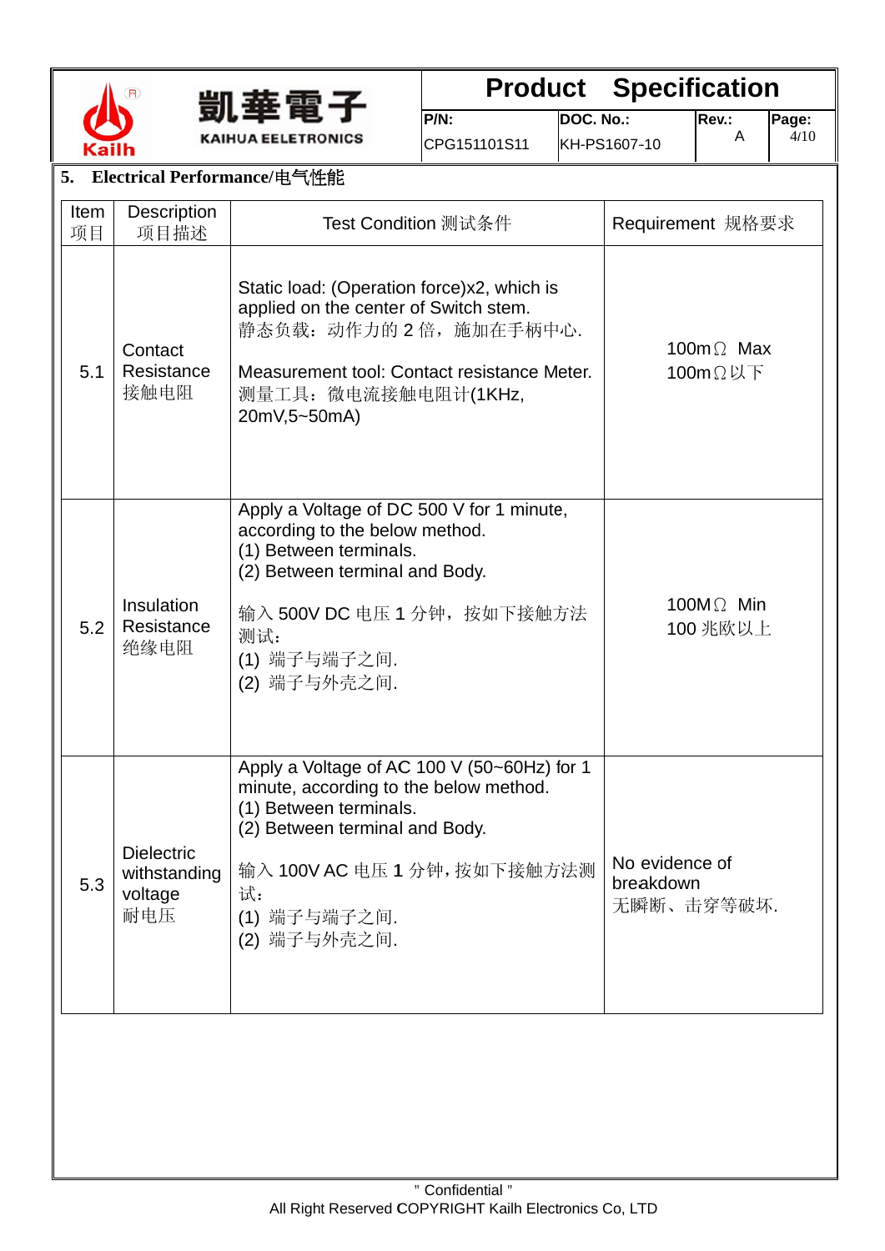



## **Product Specification**

 $P/N$ : CPG151101S11

DOC. No.: KH-PS1607-10 Rev.:  $\mathsf{A}$ 

| 5.<br>Electrical Performance/电气性能                          |                                  |                                                                                                                                                                                                                         |                                           |  |  |  |  |  |
|------------------------------------------------------------|----------------------------------|-------------------------------------------------------------------------------------------------------------------------------------------------------------------------------------------------------------------------|-------------------------------------------|--|--|--|--|--|
| Item<br>项目                                                 | Description<br>项目描述              | Test Condition 测试条件                                                                                                                                                                                                     | Requirement 规格要求                          |  |  |  |  |  |
| 5.1                                                        | Contact<br>Resistance<br>接触电阻    | Static load: (Operation force)x2, which is<br>applied on the center of Switch stem.<br>静态负载: 动作力的 2 倍, 施加在手柄中心.<br>Measurement tool: Contact resistance Meter.<br>测量工具: 微电流接触电阻计(1KHz,<br>20mV,5~50mA)                  | 100 $m\Omega$ Max<br>$100m\Omega$ 以下      |  |  |  |  |  |
| 5.2                                                        | Insulation<br>Resistance<br>绝缘电阻 | Apply a Voltage of DC 500 V for 1 minute,<br>according to the below method.<br>(1) Between terminals.<br>(2) Between terminal and Body.<br>输入 500V DC 电压 1 分钟, 按如下接触方法<br>测试:<br>(1) 端子与端子之间.<br>(2) 端子与外壳之间.           | 100 $M\Omega$ Min<br>100 兆欧以上             |  |  |  |  |  |
| <b>Dielectric</b><br>withstanding<br>5.3<br>voltage<br>耐电压 |                                  | Apply a Voltage of AC 100 V (50~60Hz) for 1<br>minute, according to the below method.<br>(1) Between terminals.<br>(2) Between terminal and Body.<br>输入 100V AC 电压 1 分钟, 按如下接触方法测<br>试:<br>(1) 端子与端子之间.<br>(2) 端子与外壳之间. | No evidence of<br>breakdown<br>无瞬断、击穿等破坏. |  |  |  |  |  |
|                                                            |                                  |                                                                                                                                                                                                                         |                                           |  |  |  |  |  |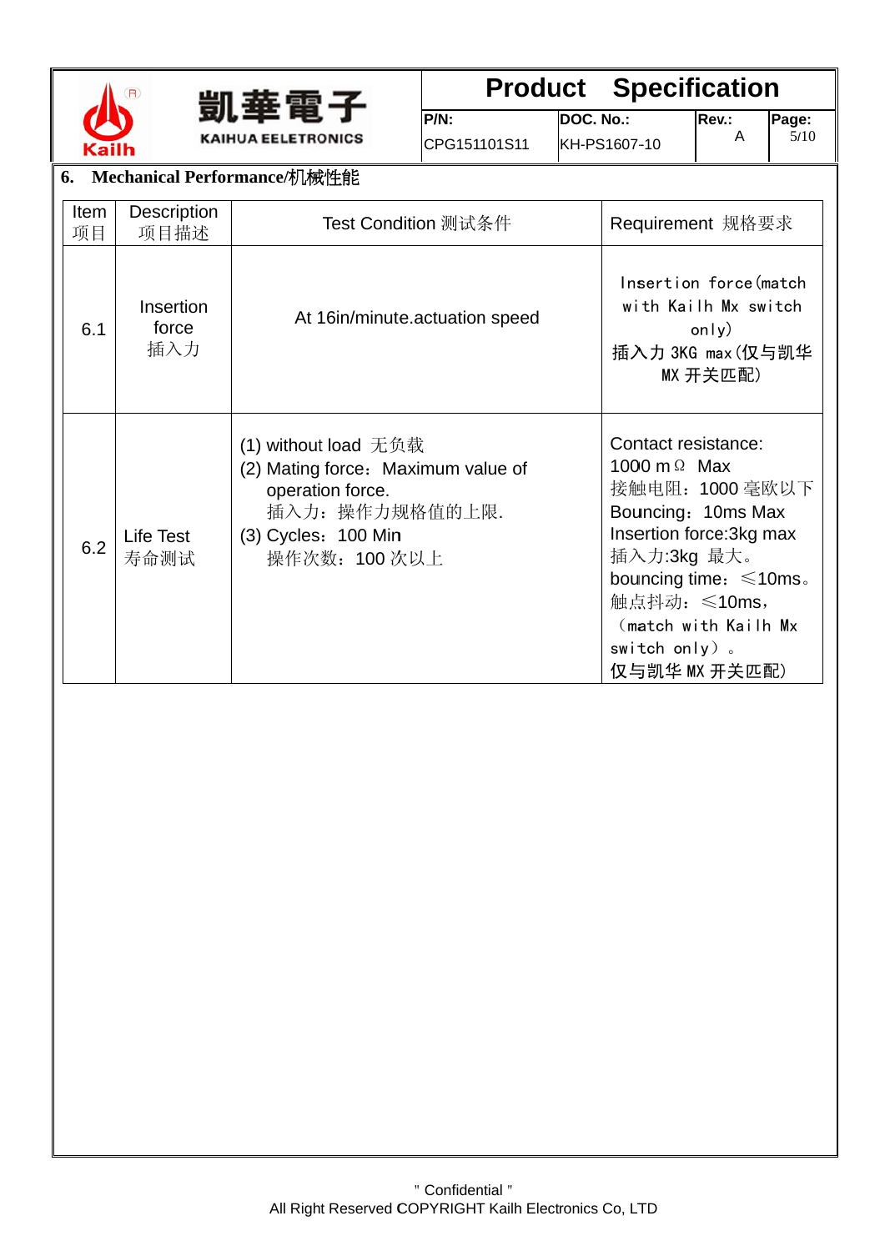



## **Product Specification**

CPG151101S11

DOC. No.: KH-PS1607-10

Rev.:

Page:<br> $\frac{5}{10}$ 

 $\boldsymbol{\mathsf{A}}$ 

|                   | 6. Mechanical Performance/机械性能 |                                                                                                                                               |                                                                                                                                                                                                                                          |  |  |  |  |  |  |
|-------------------|--------------------------------|-----------------------------------------------------------------------------------------------------------------------------------------------|------------------------------------------------------------------------------------------------------------------------------------------------------------------------------------------------------------------------------------------|--|--|--|--|--|--|
| <b>Item</b><br>项目 | Description<br>项目描述            | Test Condition 测试条件                                                                                                                           | Requirement 规格要求                                                                                                                                                                                                                         |  |  |  |  |  |  |
| 6.1               | Insertion<br>force<br>插入力      | At 16in/minute.actuation speed                                                                                                                | Insertion force (match<br>with Kailh Mx switch<br>only)<br>插入力 3KG max (仅与凯华<br>MX 开关匹配)                                                                                                                                                 |  |  |  |  |  |  |
| 6.2               | <b>Life Test</b><br>寿命测试       | (1) without load 无负载<br>(2) Mating force: Maximum value of<br>operation force.<br>插入力: 操作力规格值的上限.<br>$(3)$ Cycles: $100$ Min<br>操作次数: 100 次以上 | Contact resistance:<br>1000 m $\Omega$ Max<br>接触电阻: 1000 毫欧以下<br>Bouncing: 10ms Max<br>Insertion force: 3kg max<br>插入力:3kg 最大。<br>bouncing time: $\leq 10$ ms.<br>触点抖动: ≤10ms,<br>(match with Kailh Mx<br>switch only).<br>仅与凯华 MX 开关匹配) |  |  |  |  |  |  |

 $P/N$ :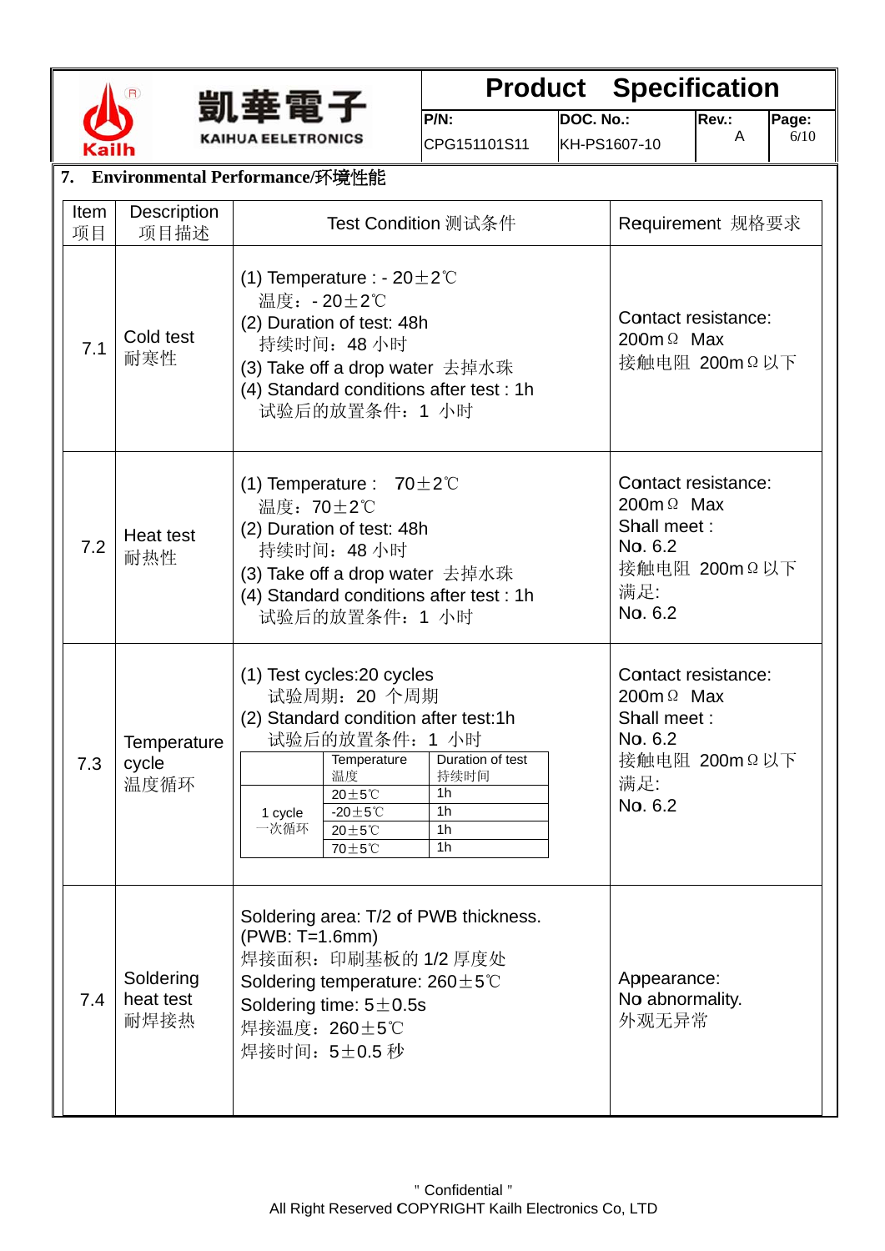

7.4

**Soldering** heat test 耐焊 接热



### **Product Specification**

Rev.:

A

**Pag e:**  6/ 10

**DOC. No.:** 

**P/N:**  CPG151 101S11

| <b>Kailh</b>                                             |                                   |                                                                                                                                                                                                                                                                |                                                                                                                                                                                                                                                                                                               | CPG151101S11                          | KH-PS1607-10 |                                                                                                       |                                                                                                       | VI LV |  |
|----------------------------------------------------------|-----------------------------------|----------------------------------------------------------------------------------------------------------------------------------------------------------------------------------------------------------------------------------------------------------------|---------------------------------------------------------------------------------------------------------------------------------------------------------------------------------------------------------------------------------------------------------------------------------------------------------------|---------------------------------------|--------------|-------------------------------------------------------------------------------------------------------|-------------------------------------------------------------------------------------------------------|-------|--|
|                                                          | 7. Environmental Performance/环境性能 |                                                                                                                                                                                                                                                                |                                                                                                                                                                                                                                                                                                               |                                       |              |                                                                                                       |                                                                                                       |       |  |
| Description<br>Item<br>Test Condition 测试条件<br>项目<br>项目描述 |                                   |                                                                                                                                                                                                                                                                |                                                                                                                                                                                                                                                                                                               |                                       |              | Requirement 规格要求                                                                                      |                                                                                                       |       |  |
| 7.1                                                      | Cold test<br>耐寒性                  | (1) Temperature : - $20 \pm 2^{\circ}$ C<br>温度: -20±2℃<br>Contact resistance:<br>(2) Duration of test: 48h<br>200 $m \Omega$ Max<br>持续时间: 48 小时<br>接触电阻 200mΩ以下<br>(3) Take off a drop water 去掉水珠<br>(4) Standard conditions after test : 1h<br>试验后的放置条件: 1 小时 |                                                                                                                                                                                                                                                                                                               |                                       |              |                                                                                                       |                                                                                                       |       |  |
| 7.2                                                      | Heat test<br>耐热性                  |                                                                                                                                                                                                                                                                | (1) Temperature : $70 \pm 2^{\circ}$ C<br>温度: 70±2℃<br>(2) Duration of test: 48h<br>持续时间: 48 小时<br>(3) Take off a drop water 去掉水珠<br>(4) Standard conditions after test: 1h<br>试验后的放置条件: 1 小时                                                                                                                 |                                       |              |                                                                                                       | Contact resistance:<br>200 $m \Omega$ Max<br>Shall meet:<br>No. 6.2<br>接触电阻 200mΩ以下<br>满足:<br>No. 6.2 |       |  |
| 7.3                                                      | Temperature<br>cycle<br>温度循环      | 1 cycle<br>一次循环                                                                                                                                                                                                                                                | (1) Test cycles: 20 cycles<br>试验周期: 20 个周期<br>(2) Standard condition after test:1h<br>试验后的放置条件: 1 小时<br>Duration of test<br>Temperature<br>温度<br>持续时间<br>1 <sub>h</sub><br>$20\pm5^{\circ}$ C<br>$-20 \pm 5^{\circ}$ C<br>1 <sub>h</sub><br>$20 \pm 5^{\circ}$ C<br>1 <sub>h</sub><br>1 <sub>h</sub><br>70±5℃ |                                       |              | Contact resistance:<br>200 $m \Omega$ Max<br>Shall meet:<br>No. 6.2<br>接触电阻 200mΩ以下<br>满足:<br>No. 6.2 |                                                                                                       |       |  |
|                                                          |                                   | (PWB: T=1.6mm)                                                                                                                                                                                                                                                 | 焊接面积: 印刷基板的 1/2 厚度处                                                                                                                                                                                                                                                                                           | Soldering area: T/2 of PWB thickness. |              |                                                                                                       |                                                                                                       |       |  |

All Right Reserved COPYRIGHT Kailh Electronics Co, LTD " Confidential "

Ap ppearance: No abnormality. 外观 观无异常

Soldering temperature: 260 $\pm$ 5°C

Soldering time:  $5\pm0.5s$ 焊接温度: 260±5℃ ℃ 焊接时间: 5±0.5 秒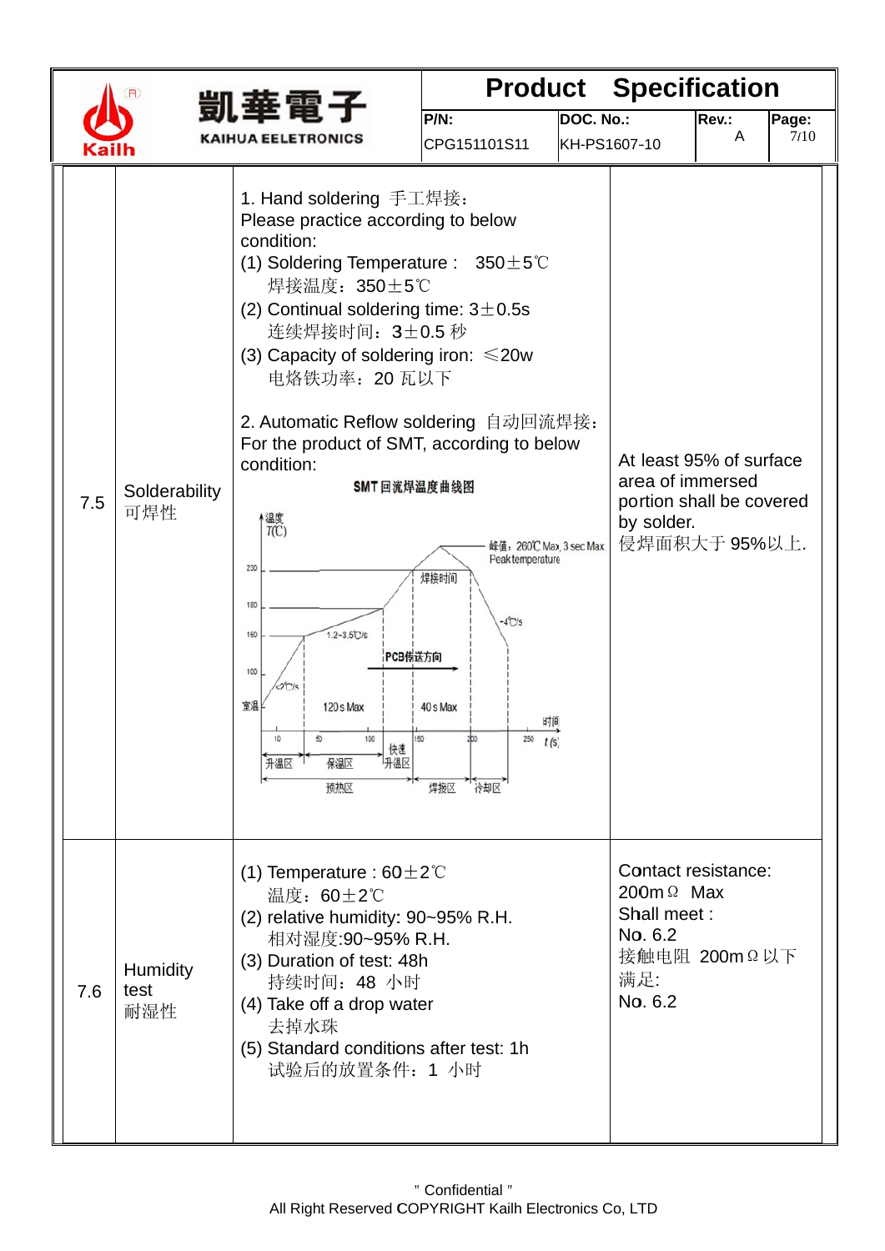|  |     |                                |                                                                                                                                                                                                                                                                                                                                                                                                                                                                                                                                          |                                                                                                                         |           | <b>Product Specification</b>                                                                           |            |               |  |
|--|-----|--------------------------------|------------------------------------------------------------------------------------------------------------------------------------------------------------------------------------------------------------------------------------------------------------------------------------------------------------------------------------------------------------------------------------------------------------------------------------------------------------------------------------------------------------------------------------------|-------------------------------------------------------------------------------------------------------------------------|-----------|--------------------------------------------------------------------------------------------------------|------------|---------------|--|
|  |     |                                | 凱華電子<br><b>KAIHUA EELETRONICS</b>                                                                                                                                                                                                                                                                                                                                                                                                                                                                                                        | P/N:<br>CPG151101S11                                                                                                    | DOC. No.: | KH-PS1607-10                                                                                           | Rev.:<br>A | Page:<br>7/10 |  |
|  | 7.5 | Solderability<br>可焊性           | 1. Hand soldering 手工焊接:<br>Please practice according to below<br>condition:<br>(1) Soldering Temperature : $350 \pm 5^{\circ}$ C<br>焊接温度: 350±5℃<br>(2) Continual soldering time: $3\pm0.5s$<br>连续焊接时间: 3±0.5 秒<br>(3) Capacity of soldering iron: $\leq 20w$<br>电烙铁功率: 20 瓦以下<br>2. Automatic Reflow soldering 自动回流焊接:<br>For the product of SMT, according to below<br>condition:<br>SMT 回流焊温度曲线图<br>温度<br>T(C)<br>230<br>180<br>$1.2 - 3.5$ C/s<br>150<br>PCB传送方向<br>100<br>2C/s<br>室温<br>120 s Max<br>快速<br>升温区<br>升温区<br>保温区<br>预热区 | 峰值: 260℃ Max 3 sec Max.<br>Peak temperature<br>焊接时间<br>$-4^{\circ}$ C/s<br>40 s Max<br>时间<br>$250$ $t(S)$<br>焊接区<br>冷却区 |           | At least 95% of surface<br>area of immersed<br>portion shall be covered<br>by solder.<br>侵焊面积大于 95%以上. |            |               |  |
|  | 7.6 | <b>Humidity</b><br>test<br>耐湿性 | (1) Temperature : $60 \pm 2^{\circ}$ C<br>温度: 60±2℃<br>(2) relative humidity: 90~95% R.H.<br>相对湿度:90~95% R.H.<br>(3) Duration of test: 48h<br>持续时间: 48 小时<br>(4) Take off a drop water<br>去掉水珠<br>(5) Standard conditions after test: 1h<br>试验后的放置条件: 1 小时                                                                                                                                                                                                                                                                               |                                                                                                                         |           | Contact resistance:<br>200 $m \Omega$ Max<br>Shall meet:<br>No. 6.2<br>接触电阻 200mΩ以下<br>满足:<br>No. 6.2  |            |               |  |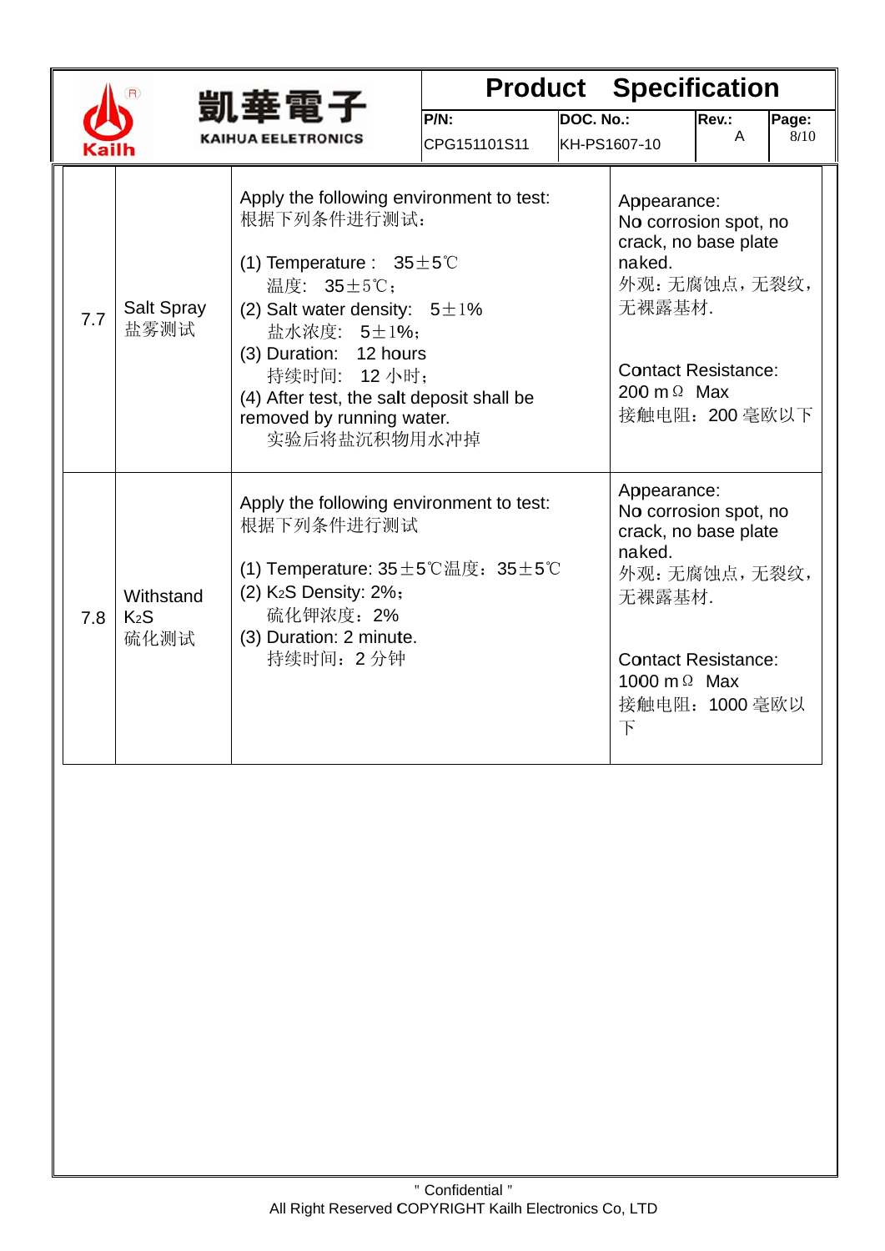|     |                                       | 凱華電子                                                                                                                                                                                                                                                                                                      |                         |                                  | <b>Product Specification</b>                                                                                                                                                |            |               |
|-----|---------------------------------------|-----------------------------------------------------------------------------------------------------------------------------------------------------------------------------------------------------------------------------------------------------------------------------------------------------------|-------------------------|----------------------------------|-----------------------------------------------------------------------------------------------------------------------------------------------------------------------------|------------|---------------|
|     |                                       | <b>KAIHUA EELETRONICS</b>                                                                                                                                                                                                                                                                                 | $PNN$ :<br>CPG151101S11 | <b>DOC. No.:</b><br>KH-PS1607-10 |                                                                                                                                                                             | Rev.:<br>A | Page:<br>8/10 |
| 7.7 | Salt Spray<br>盐雾测试                    | Apply the following environment to test:<br>根据下列条件进行测试:<br>(1) Temperature : $35 \pm 5^{\circ}$ C<br>温度: 35±5℃;<br>(2) Salt water density: $5 \pm 1\%$<br>盐水浓度: 5±1%;<br>(3) Duration: 12 hours<br>持续时间: 12 小时;<br>(4) After test, the salt deposit shall be<br>removed by running water.<br>实验后将盐沉积物用水冲掉 |                         |                                  | Appearance:<br>No corrosion spot, no<br>crack, no base plate<br>naked.<br>外观:无腐蚀点,无裂纹,<br>无裸露基材.<br><b>Contact Resistance:</b><br>200 m $\Omega$ Max<br>接触电阻: 200 毫欧以下      |            |               |
| 7.8 | Withstand<br>K <sub>2</sub> S<br>硫化测试 | Apply the following environment to test:<br>根据下列条件进行测试<br>(1) Temperature: $35 \pm 5^{\circ}$ 温度: $35 \pm 5^{\circ}$<br>(2) K <sub>2</sub> S Density: 2%;<br>硫化钾浓度: 2%<br>(3) Duration: 2 minute.<br>持续时间: 2分钟                                                                                            |                         |                                  | Appearance:<br>No corrosion spot, no<br>crack, no base plate<br>naked.<br>外观:无腐蚀点,无裂纹,<br>无裸露基材.<br><b>Contact Resistance:</b><br>1000 m $\Omega$ Max<br>接触电阻: 1000毫欧以<br>下 |            |               |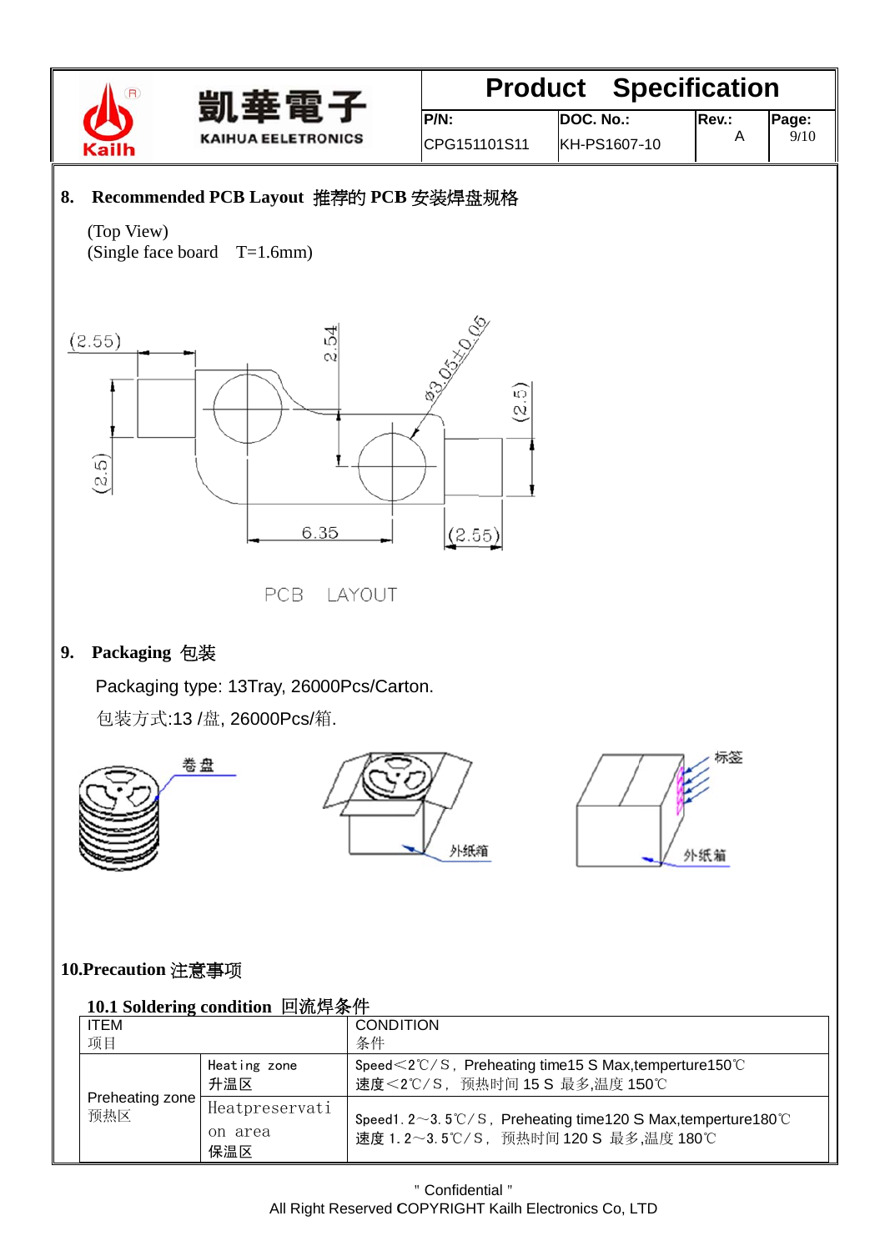



### **Product Specification** Page:

 $P/N$ : CPG151101S11

DOC. No.:

KH-PS1607-10

 $9/10$ 

### 8. Recommended PCB Layout 推荐的 PCB 安装焊盘规格

(Top View) (Single face board  $T=1.6$ mm)



PCB LAYOUT

### 9. Packaging 包装

Packaging type: 13Tray, 26000Pcs/Carton.

包装方式:13 /盘, 26000Pcs/箱.







### 10.Precaution 注意事项

#### 10.1 Soldering condition 回流焊条件

| <b>ITEM</b>            |                                  | <b>CONDITION</b>                                                                                                               |
|------------------------|----------------------------------|--------------------------------------------------------------------------------------------------------------------------------|
| 项目                     |                                  | 条件                                                                                                                             |
|                        | Heating zone<br>升温区              | Speed $\leq$ 2°C/S, Preheating time 15 S Max, temperture 150°C<br>速度<2℃/S, 预热时间 15 S 最多,温度 150℃                                |
| Preheating zone<br>预热区 | Heatpreservati<br>on area<br>保温区 | Speed1. $2 \sim 3.5^{\circ}$ C/S, Preheating time120 S Max, temperture180 $^{\circ}$ C<br>速度 1.2~3.5℃/S, 预热时间 120 S 最多,温度 180℃ |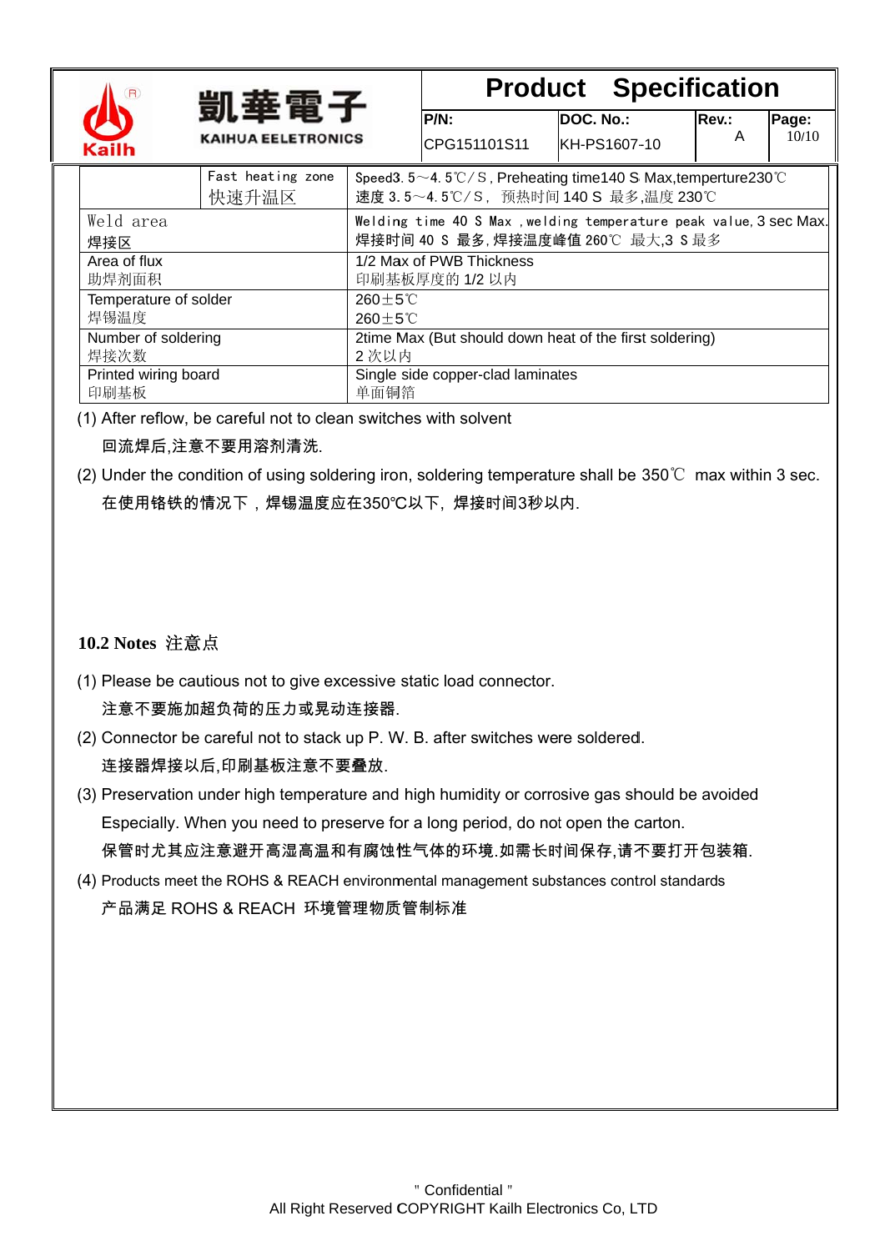|                                                                                                                        |                              | 凱華電子                       |                                            | <b>Product Specification</b>                                                                                            |                           |  |            |                |
|------------------------------------------------------------------------------------------------------------------------|------------------------------|----------------------------|--------------------------------------------|-------------------------------------------------------------------------------------------------------------------------|---------------------------|--|------------|----------------|
|                                                                                                                        | <b>KAIHUA EELETRONICS</b>    |                            |                                            | $P/N$ :<br>CPG151101S11                                                                                                 | DOC. No.:<br>KH-PS1607-10 |  | Rev.:<br>A | Page:<br>10/10 |
|                                                                                                                        | <b>Kailh</b>                 |                            |                                            |                                                                                                                         |                           |  |            |                |
|                                                                                                                        |                              | Fast heating zone<br>快速升温区 |                                            | Speed 3. $5 \sim 4.5^{\circ}$ C/S, Preheating time 140 S Max, temperture 230 °C<br>速度 3.5~4.5℃/S, 预热时间 140 S 最多,温度 230℃ |                           |  |            |                |
| Weld area<br>Welding time 40 S Max, welding temperature peak value, 3 sec Max.<br>焊接时间 40 S 最多, 焊接温度峰值 260℃ 最大, 3 S 最多 |                              |                            |                                            |                                                                                                                         |                           |  |            |                |
|                                                                                                                        | 焊接区<br>Area of flux<br>助焊剂面积 |                            |                                            | 1/2 Max of PWB Thickness<br>印刷基板厚度的 1/2 以内                                                                              |                           |  |            |                |
| Temperature of solder<br>焊锡温度                                                                                          |                              |                            | $260 + 5^{\circ}$ C<br>$260 + 5^{\circ}$ C |                                                                                                                         |                           |  |            |                |
|                                                                                                                        | Number of soldering<br>焊接次数  |                            |                                            | 2time Max (But should down heat of the first soldering)<br>2次以内                                                         |                           |  |            |                |
|                                                                                                                        | Printed wiring board<br>印刷基板 |                            | 单面铜箔                                       | Single side copper-clad laminates                                                                                       |                           |  |            |                |

- (1) After reflow, be careful not to clean switches with solvent 回流焊后,注意不要用溶剂清洗.
- (2) Under the condition of using soldering iron, soldering temperature shall be  $350^{\circ}$  max within 3 sec. 在使用铬铁的情况下,焊锡温度应在350℃以下,焊接时间3秒以内.

#### 10.2 Notes 注意点

- (1) Please be cautious not to give excessive static load connector. 注意不要施加超负荷的压力或晃动连接器。
- (2) Connector be careful not to stack up P. W. B. after switches were soldered. 连接器焊接以后,印刷基板注意不要叠放.
- (3) Preservation under high temperature and high humidity or corrosive gas should be avoided Especially. When you need to preserve for a long period, do not open the carton. 保管时尤其应注意避开高湿高温和有腐蚀性气体的环境.如需长时间保存,请不要打开包装箱.
- (4) Products meet the ROHS & REACH environmental management substances control standards 产品满足 ROHS & REACH 环境管理物质管制标准